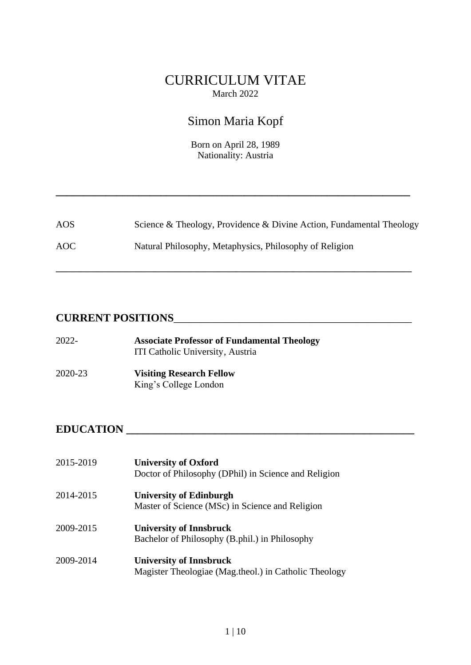## CURRICULUM VITAE March 2022

# Simon Maria Kopf

Born on April 28, 1989 Nationality: Austria

**\_\_\_\_\_\_\_\_\_\_\_\_\_\_\_\_\_\_\_\_\_\_\_\_\_\_\_\_\_\_\_\_\_\_\_\_\_\_\_\_\_\_\_\_\_\_\_\_\_\_\_\_\_\_\_\_\_\_\_\_\_\_\_\_**

| AOS | Science & Theology, Providence & Divine Action, Fundamental Theology |
|-----|----------------------------------------------------------------------|
| AOC | Natural Philosophy, Metaphysics, Philosophy of Religion              |

**\_\_\_\_\_\_\_\_\_\_\_\_\_\_\_\_\_\_\_\_\_\_\_\_\_\_\_\_\_\_\_\_\_\_\_\_\_\_\_\_\_\_\_\_\_\_\_\_\_\_\_\_\_\_\_\_\_\_\_\_\_\_\_\_\_\_\_\_\_\_\_\_\_\_\_**

## **CURRENT POSITIONS**\_\_\_\_\_\_\_\_\_\_\_\_\_\_\_\_\_\_\_\_\_\_\_\_\_\_\_\_\_\_\_\_\_\_\_\_\_\_\_\_\_\_\_

| 2022-   | <b>Associate Professor of Fundamental Theology</b><br>ITI Catholic University, Austria |
|---------|----------------------------------------------------------------------------------------|
| 2020-23 | <b>Visiting Research Fellow</b><br>King's College London                               |

## **EDUCATION \_\_\_\_\_\_\_\_\_\_\_\_\_\_\_\_\_\_\_\_\_\_\_\_\_\_\_\_\_\_\_\_\_\_\_\_\_\_\_\_\_\_\_\_\_\_\_\_\_\_\_\_**

| 2015-2019 | <b>University of Oxford</b><br>Doctor of Philosophy (DPhil) in Science and Religion     |
|-----------|-----------------------------------------------------------------------------------------|
| 2014-2015 | <b>University of Edinburgh</b><br>Master of Science (MSc) in Science and Religion       |
| 2009-2015 | <b>University of Innsbruck</b><br>Bachelor of Philosophy (B.phil.) in Philosophy        |
| 2009-2014 | <b>University of Innsbruck</b><br>Magister Theologiae (Mag.theol.) in Catholic Theology |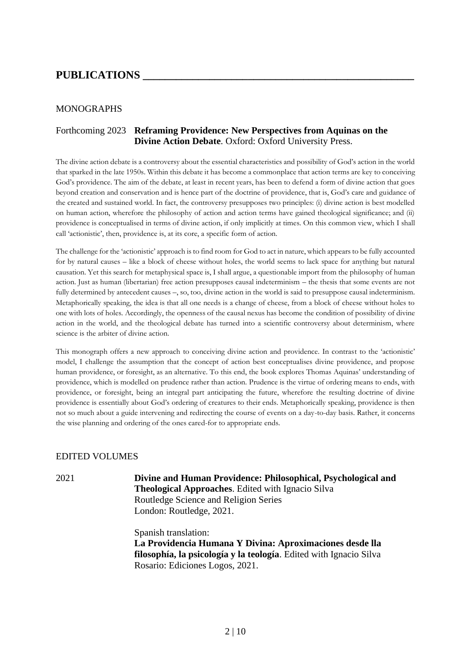## **PUBLICATIONS \_\_\_\_\_\_\_\_\_\_\_\_\_\_\_\_\_\_\_\_\_\_\_\_\_\_\_\_\_\_\_\_\_\_\_\_\_\_\_\_\_\_\_\_\_\_\_\_\_**

#### MONOGRAPHS

#### Forthcoming 2023 **Reframing Providence: New Perspectives from Aquinas on the Divine Action Debate**. Oxford: Oxford University Press.

The divine action debate is a controversy about the essential characteristics and possibility of God's action in the world that sparked in the late 1950s. Within this debate it has become a commonplace that action terms are key to conceiving God's providence. The aim of the debate, at least in recent years, has been to defend a form of divine action that goes beyond creation and conservation and is hence part of the doctrine of providence, that is, God's care and guidance of the created and sustained world. In fact, the controversy presupposes two principles: (i) divine action is best modelled on human action, wherefore the philosophy of action and action terms have gained theological significance; and (ii) providence is conceptualised in terms of divine action, if only implicitly at times. On this common view, which I shall call 'actionistic', then, providence is, at its core, a specific form of action.

The challenge for the 'actionistic' approach is to find room for God to act in nature, which appears to be fully accounted for by natural causes – like a block of cheese without holes, the world seems to lack space for anything but natural causation. Yet this search for metaphysical space is, I shall argue, a questionable import from the philosophy of human action. Just as human (libertarian) free action presupposes causal indeterminism – the thesis that some events are not fully determined by antecedent causes –, so, too, divine action in the world is said to presuppose causal indeterminism. Metaphorically speaking, the idea is that all one needs is a change of cheese, from a block of cheese without holes to one with lots of holes. Accordingly, the openness of the causal nexus has become the condition of possibility of divine action in the world, and the theological debate has turned into a scientific controversy about determinism, where science is the arbiter of divine action.

This monograph offers a new approach to conceiving divine action and providence. In contrast to the 'actionistic' model, I challenge the assumption that the concept of action best conceptualises divine providence, and propose human providence, or foresight, as an alternative. To this end, the book explores Thomas Aquinas' understanding of providence, which is modelled on prudence rather than action. Prudence is the virtue of ordering means to ends, with providence, or foresight, being an integral part anticipating the future, wherefore the resulting doctrine of divine providence is essentially about God's ordering of creatures to their ends. Metaphorically speaking, providence is then not so much about a guide intervening and redirecting the course of events on a day-to-day basis. Rather, it concerns the wise planning and ordering of the ones cared-for to appropriate ends.

#### EDITED VOLUMES

2021 **Divine and Human Providence: Philosophical, Psychological and Theological Approaches**. Edited with Ignacio Silva Routledge Science and Religion Series London: Routledge, 2021.

> Spanish translation: **La Providencia Humana Y Divina: Aproximaciones desde lla filosophía, la psicología y la teología**. Edited with Ignacio Silva Rosario: Ediciones Logos, 2021.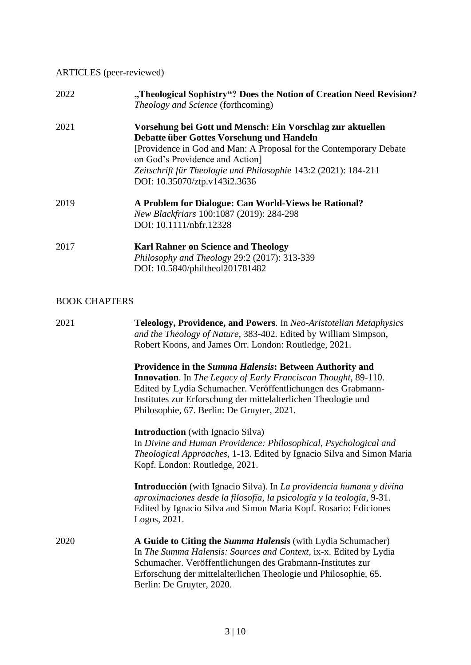## ARTICLES (peer-reviewed)

| 2022 | "Theological Sophistry"? Does the Notion of Creation Need Revision?<br><i>Theology and Science</i> (forthcoming)                                                                                                                                                                                                    |
|------|---------------------------------------------------------------------------------------------------------------------------------------------------------------------------------------------------------------------------------------------------------------------------------------------------------------------|
| 2021 | Vorsehung bei Gott und Mensch: Ein Vorschlag zur aktuellen<br>Debatte über Gottes Vorsehung und Handeln<br>[Providence in God and Man: A Proposal for the Contemporary Debate<br>on God's Providence and Action<br>Zeitschrift für Theologie und Philosophie 143:2 (2021): 184-211<br>DOI: 10.35070/ztp.v143i2.3636 |
| 2019 | A Problem for Dialogue: Can World-Views be Rational?<br>New Blackfriars 100:1087 (2019): 284-298<br>DOI: 10.1111/nbfr.12328                                                                                                                                                                                         |
| 2017 | <b>Karl Rahner on Science and Theology</b><br>Philosophy and Theology 29:2 (2017): 313-339<br>DOI: 10.5840/philtheol201781482                                                                                                                                                                                       |

## BOOK CHAPTERS

| 2021 | <b>Teleology, Providence, and Powers.</b> In Neo-Aristotelian Metaphysics<br>and the Theology of Nature, 383-402. Edited by William Simpson,<br>Robert Koons, and James Orr. London: Routledge, 2021.                                                                                                                   |
|------|-------------------------------------------------------------------------------------------------------------------------------------------------------------------------------------------------------------------------------------------------------------------------------------------------------------------------|
|      | <b>Providence in the Summa Halensis: Between Authority and</b><br><b>Innovation.</b> In The Legacy of Early Franciscan Thought, 89-110.<br>Edited by Lydia Schumacher. Veröffentlichungen des Grabmann-<br>Institutes zur Erforschung der mittelalterlichen Theologie und<br>Philosophie, 67. Berlin: De Gruyter, 2021. |
|      | <b>Introduction</b> (with Ignacio Silva)<br>In Divine and Human Providence: Philosophical, Psychological and<br><i>Theological Approaches, 1-13. Edited by Ignacio Silva and Simon Maria</i><br>Kopf. London: Routledge, 2021.                                                                                          |
|      | Introducción (with Ignacio Silva). In La providencia humana y divina<br>aproximaciones desde la filosofía, la psicología y la teología, 9-31.<br>Edited by Ignacio Silva and Simon Maria Kopf. Rosario: Ediciones<br>Logos, 2021.                                                                                       |
| 2020 | A Guide to Citing the Summa Halensis (with Lydia Schumacher)<br>In The Summa Halensis: Sources and Context, ix-x. Edited by Lydia<br>Schumacher. Veröffentlichungen des Grabmann-Institutes zur<br>Erforschung der mittelalterlichen Theologie und Philosophie, 65.<br>Berlin: De Gruyter, 2020.                        |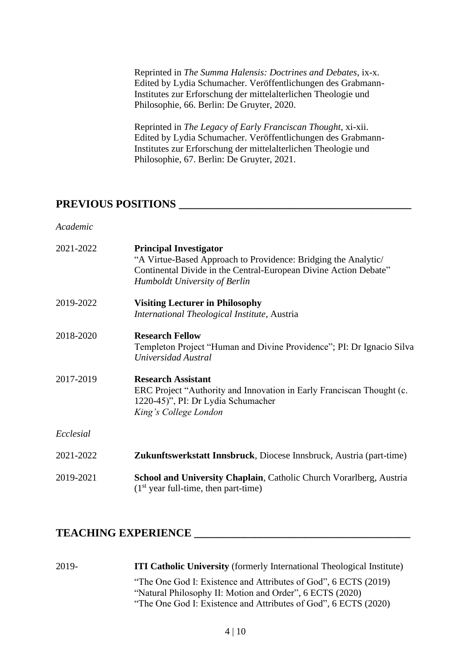Reprinted in *The Summa Halensis: Doctrines and Debates*, ix-x. Edited by Lydia Schumacher. Veröffentlichungen des Grabmann-Institutes zur Erforschung der mittelalterlichen Theologie und Philosophie, 66. Berlin: De Gruyter, 2020.

Reprinted in *The Legacy of Early Franciscan Thought*, xi-xii. Edited by Lydia Schumacher. Veröffentlichungen des Grabmann-Institutes zur Erforschung der mittelalterlichen Theologie und Philosophie, 67. Berlin: De Gruyter, 2021.

## **PREVIOUS POSITIONS \_\_\_\_\_\_\_\_\_\_\_\_\_\_\_\_\_\_\_\_\_\_\_\_\_\_\_\_\_\_\_\_\_\_\_\_\_\_\_\_\_\_**

*Academic*

| 2021-2022 | <b>Principal Investigator</b><br>"A Virtue-Based Approach to Providence: Bridging the Analytic/<br>Continental Divide in the Central-European Divine Action Debate"<br>Humboldt University of Berlin |
|-----------|------------------------------------------------------------------------------------------------------------------------------------------------------------------------------------------------------|
| 2019-2022 | <b>Visiting Lecturer in Philosophy</b><br>International Theological Institute, Austria                                                                                                               |
| 2018-2020 | <b>Research Fellow</b><br>Templeton Project "Human and Divine Providence"; PI: Dr Ignacio Silva<br>Universidad Austral                                                                               |
| 2017-2019 | <b>Research Assistant</b><br>ERC Project "Authority and Innovation in Early Franciscan Thought (c.<br>1220-45)", PI: Dr Lydia Schumacher<br>King's College London                                    |
| Ecclesial |                                                                                                                                                                                                      |
| 2021-2022 | <b>Zukunftswerkstatt Innsbruck</b> , Diocese Innsbruck, Austria (part-time)                                                                                                                          |
| 2019-2021 | School and University Chaplain, Catholic Church Vorarlberg, Austria<br>$(1st$ year full-time, then part-time)                                                                                        |

## **TEACHING EXPERIENCE \_\_\_\_\_\_\_\_\_\_\_\_\_\_\_\_\_\_\_\_\_\_\_\_\_\_\_\_\_\_\_\_\_\_\_\_\_\_\_**

| 2019- | <b>ITI Catholic University</b> (formerly International Theological Institute) |
|-------|-------------------------------------------------------------------------------|
|       | "The One God I: Existence and Attributes of God", 6 ECTS (2019)               |
|       | "Natural Philosophy II: Motion and Order", 6 ECTS (2020)                      |
|       | "The One God I: Existence and Attributes of God", 6 ECTS (2020)               |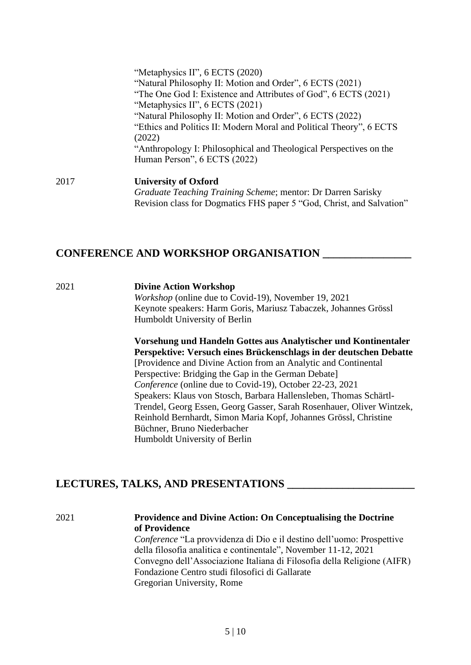| 2017 | <b>University of Oxford</b>                                                                                                                                                                                                                                                                                                                           |
|------|-------------------------------------------------------------------------------------------------------------------------------------------------------------------------------------------------------------------------------------------------------------------------------------------------------------------------------------------------------|
|      | "The One God I: Existence and Attributes of God", 6 ECTS (2021)<br>"Metaphysics II", 6 ECTS (2021)<br>"Natural Philosophy II: Motion and Order", 6 ECTS (2022)<br>"Ethics and Politics II: Modern Moral and Political Theory", 6 ECTS<br>(2022)<br>"Anthropology I: Philosophical and Theological Perspectives on the<br>Human Person", 6 ECTS (2022) |
|      | "Metaphysics II", 6 ECTS (2020)<br>"Natural Philosophy II: Motion and Order", 6 ECTS (2021)                                                                                                                                                                                                                                                           |

*Graduate Teaching Training Scheme*; mentor: Dr Darren Sarisky Revision class for Dogmatics FHS paper 5 "God, Christ, and Salvation"

## **CONFERENCE AND WORKSHOP ORGANISATION \_\_\_\_\_\_\_\_\_\_\_\_\_\_\_\_**

#### 2021 **Divine Action Workshop**

*Workshop* (online due to Covid-19), November 19, 2021 Keynote speakers: Harm Goris, Mariusz Tabaczek, Johannes Grössl Humboldt University of Berlin

**Vorsehung und Handeln Gottes aus Analytischer und Kontinentaler Perspektive: Versuch eines Brückenschlags in der deutschen Debatte** [Providence and Divine Action from an Analytic and Continental Perspective: Bridging the Gap in the German Debate] *Conference* (online due to Covid-19), October 22-23, 2021 Speakers: Klaus von Stosch, Barbara Hallensleben, Thomas Schärtl-Trendel, Georg Essen, Georg Gasser, Sarah Rosenhauer, Oliver Wintzek, Reinhold Bernhardt, Simon Maria Kopf, Johannes Grössl, Christine Büchner, Bruno Niederbacher Humboldt University of Berlin

## **LECTURES, TALKS, AND PRESENTATIONS \_\_\_\_\_\_\_\_\_\_\_\_\_\_\_\_\_\_\_\_\_\_\_**

#### 2021 **Providence and Divine Action: On Conceptualising the Doctrine of Providence**

*Conference* "La provvidenza di Dio e il destino dell'uomo: Prospettive della filosofia analitica e continentale", November 11-12, 2021 Convegno dell'Associazione Italiana di Filosofia della Religione (AIFR) Fondazione Centro studi filosofici di Gallarate Gregorian University, Rome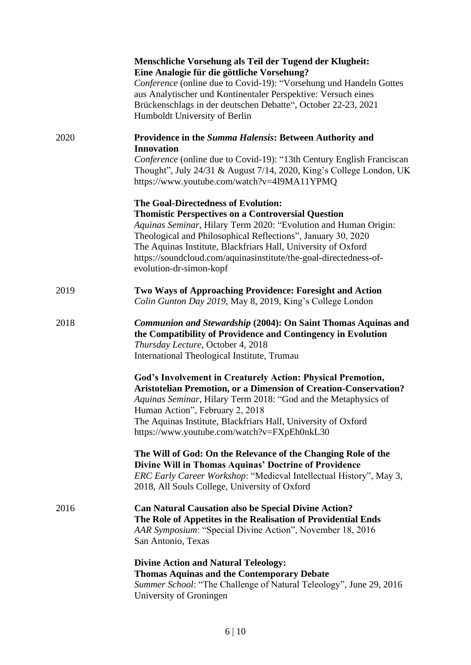|      | Menschliche Vorsehung als Teil der Tugend der Klugheit:<br>Eine Analogie für die göttliche Vorsehung?<br>Conference (online due to Covid-19): "Vorsehung und Handeln Gottes<br>aus Analytischer und Kontinentaler Perspektive: Versuch eines<br>Brückenschlags in der deutschen Debatte", October 22-23, 2021<br>Humboldt University of Berlin                                                       |
|------|------------------------------------------------------------------------------------------------------------------------------------------------------------------------------------------------------------------------------------------------------------------------------------------------------------------------------------------------------------------------------------------------------|
| 2020 | Providence in the Summa Halensis: Between Authority and<br><b>Innovation</b>                                                                                                                                                                                                                                                                                                                         |
|      | Conference (online due to Covid-19): "13th Century English Franciscan<br>Thought", July 24/31 & August 7/14, 2020, King's College London, UK<br>https://www.youtube.com/watch?v=4I9MA11YPMQ                                                                                                                                                                                                          |
|      | The Goal-Directedness of Evolution:<br><b>Thomistic Perspectives on a Controversial Question</b><br>Aquinas Seminar, Hilary Term 2020: "Evolution and Human Origin:<br>Theological and Philosophical Reflections", January 30, 2020<br>The Aquinas Institute, Blackfriars Hall, University of Oxford<br>https://soundcloud.com/aquinasinstitute/the-goal-directedness-of-<br>evolution-dr-simon-kopf |
| 2019 | Two Ways of Approaching Providence: Foresight and Action<br>Colin Gunton Day 2019, May 8, 2019, King's College London                                                                                                                                                                                                                                                                                |
| 2018 | Communion and Stewardship (2004): On Saint Thomas Aquinas and<br>the Compatibility of Providence and Contingency in Evolution<br>Thursday Lecture, October 4, 2018<br>International Theological Institute, Trumau                                                                                                                                                                                    |
|      | God's Involvement in Creaturely Action: Physical Premotion,<br><b>Aristotelian Premotion, or a Dimension of Creation-Conservation?</b><br>Aquinas Seminar, Hilary Term 2018: "God and the Metaphysics of<br>Human Action", February 2, 2018<br>The Aquinas Institute, Blackfriars Hall, University of Oxford<br>https://www.youtube.com/watch?v=FXpEh0nkL30                                          |
|      | The Will of God: On the Relevance of the Changing Role of the<br>Divine Will in Thomas Aquinas' Doctrine of Providence<br>ERC Early Career Workshop: "Medieval Intellectual History", May 3,<br>2018, All Souls College, University of Oxford                                                                                                                                                        |
| 2016 | <b>Can Natural Causation also be Special Divine Action?</b><br>The Role of Appetites in the Realisation of Providential Ends<br>AAR Symposium: "Special Divine Action", November 18, 2016<br>San Antonio, Texas                                                                                                                                                                                      |
|      | <b>Divine Action and Natural Teleology:</b><br><b>Thomas Aquinas and the Contemporary Debate</b><br>Summer School: "The Challenge of Natural Teleology", June 29, 2016<br>University of Groningen                                                                                                                                                                                                    |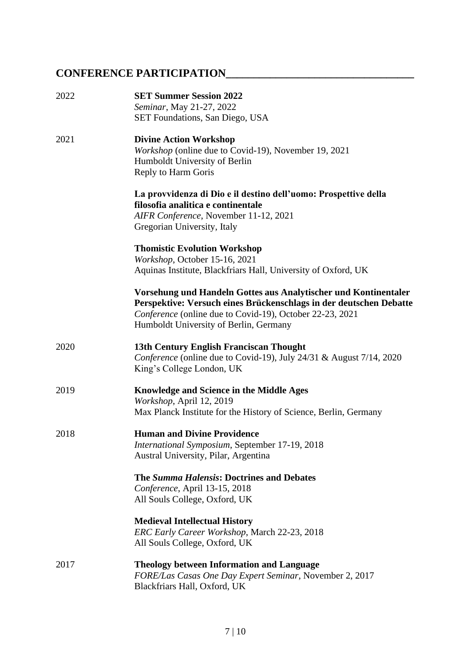# **CONFERENCE PARTICIPATION\_\_\_\_\_\_\_\_\_\_\_\_\_\_\_\_\_\_\_\_\_\_\_\_\_\_\_\_\_\_\_\_\_\_**

| 2022 | <b>SET Summer Session 2022</b><br>Seminar, May 21-27, 2022<br><b>SET Foundations, San Diego, USA</b>                                                                                                                                        |
|------|---------------------------------------------------------------------------------------------------------------------------------------------------------------------------------------------------------------------------------------------|
| 2021 | <b>Divine Action Workshop</b><br>Workshop (online due to Covid-19), November 19, 2021<br>Humboldt University of Berlin<br>Reply to Harm Goris                                                                                               |
|      | La provvidenza di Dio e il destino dell'uomo: Prospettive della<br>filosofia analitica e continentale<br>AIFR Conference, November 11-12, 2021<br>Gregorian University, Italy                                                               |
|      | <b>Thomistic Evolution Workshop</b><br>Workshop, October 15-16, 2021<br>Aquinas Institute, Blackfriars Hall, University of Oxford, UK                                                                                                       |
|      | Vorsehung und Handeln Gottes aus Analytischer und Kontinentaler<br>Perspektive: Versuch eines Brückenschlags in der deutschen Debatte<br>Conference (online due to Covid-19), October 22-23, 2021<br>Humboldt University of Berlin, Germany |
| 2020 | 13th Century English Franciscan Thought<br>Conference (online due to Covid-19), July 24/31 & August 7/14, 2020<br>King's College London, UK                                                                                                 |
| 2019 | <b>Knowledge and Science in the Middle Ages</b><br>Workshop, April 12, 2019<br>Max Planck Institute for the History of Science, Berlin, Germany                                                                                             |
| 2018 | <b>Human and Divine Providence</b><br>International Symposium, September 17-19, 2018<br>Austral University, Pilar, Argentina                                                                                                                |
|      | The Summa Halensis: Doctrines and Debates<br>Conference, April 13-15, 2018<br>All Souls College, Oxford, UK                                                                                                                                 |
|      | <b>Medieval Intellectual History</b><br>ERC Early Career Workshop, March 22-23, 2018<br>All Souls College, Oxford, UK                                                                                                                       |
| 2017 | <b>Theology between Information and Language</b><br>FORE/Las Casas One Day Expert Seminar, November 2, 2017<br>Blackfriars Hall, Oxford, UK                                                                                                 |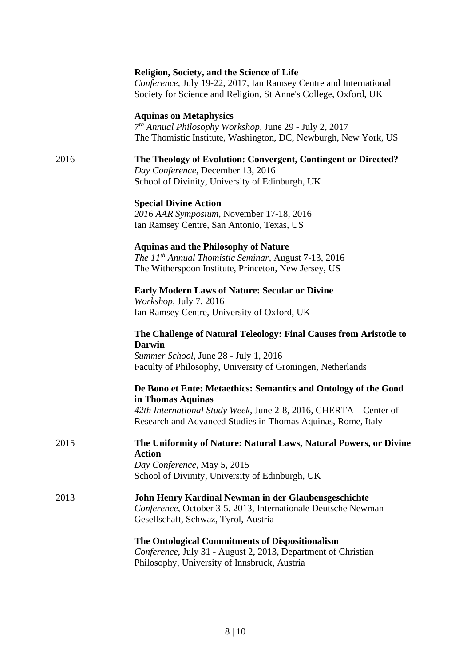| Conference, July 19-22, 2017, Ian Ramsey Centre and International<br>Society for Science and Religion, St Anne's College, Oxford, UK                                                                 |
|------------------------------------------------------------------------------------------------------------------------------------------------------------------------------------------------------|
| The Thomistic Institute, Washington, DC, Newburgh, New York, US                                                                                                                                      |
| The Theology of Evolution: Convergent, Contingent or Directed?                                                                                                                                       |
|                                                                                                                                                                                                      |
|                                                                                                                                                                                                      |
|                                                                                                                                                                                                      |
|                                                                                                                                                                                                      |
| The Challenge of Natural Teleology: Final Causes from Aristotle to                                                                                                                                   |
| Faculty of Philosophy, University of Groningen, Netherlands                                                                                                                                          |
| De Bono et Ente: Metaethics: Semantics and Ontology of the Good<br>42th International Study Week, June 2-8, 2016, CHERTA - Center of<br>Research and Advanced Studies in Thomas Aquinas, Rome, Italy |
| The Uniformity of Nature: Natural Laws, Natural Powers, or Divine                                                                                                                                    |
|                                                                                                                                                                                                      |
| John Henry Kardinal Newman in der Glaubensgeschichte<br>Conference, October 3-5, 2013, Internationale Deutsche Newman-                                                                               |
|                                                                                                                                                                                                      |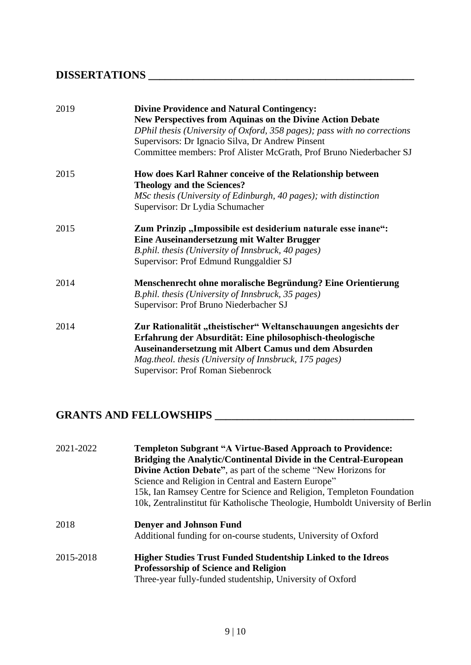## **DISSERTATIONS \_\_\_\_\_\_\_\_\_\_\_\_\_\_\_\_\_\_\_\_\_\_\_\_\_\_\_\_\_\_\_\_\_\_\_\_\_\_\_\_\_\_\_\_\_\_\_\_**

| 2019 | <b>Divine Providence and Natural Contingency:</b><br><b>New Perspectives from Aquinas on the Divine Action Debate</b><br>DPhil thesis (University of Oxford, 358 pages); pass with no corrections<br>Supervisors: Dr Ignacio Silva, Dr Andrew Pinsent<br>Committee members: Prof Alister McGrath, Prof Bruno Niederbacher SJ |
|------|------------------------------------------------------------------------------------------------------------------------------------------------------------------------------------------------------------------------------------------------------------------------------------------------------------------------------|
| 2015 | How does Karl Rahner conceive of the Relationship between<br><b>Theology and the Sciences?</b><br>MSc thesis (University of Edinburgh, 40 pages); with distinction<br>Supervisor: Dr Lydia Schumacher                                                                                                                        |
| 2015 | Zum Prinzip "Impossibile est desiderium naturale esse inane":<br>Eine Auseinandersetzung mit Walter Brugger<br>B.phil. thesis (University of Innsbruck, 40 pages)<br>Supervisor: Prof Edmund Runggaldier SJ                                                                                                                  |
| 2014 | Menschenrecht ohne moralische Begründung? Eine Orientierung<br>B.phil. thesis (University of Innsbruck, 35 pages)<br>Supervisor: Prof Bruno Niederbacher SJ                                                                                                                                                                  |
| 2014 | Zur Rationalität "theistischer" Weltanschauungen angesichts der<br>Erfahrung der Absurdität: Eine philosophisch-theologische<br>Auseinandersetzung mit Albert Camus und dem Absurden<br>Mag.theol. thesis (University of Innsbruck, 175 pages)<br>Supervisor: Prof Roman Siebenrock                                          |

# **GRANTS AND FELLOWSHIPS \_\_\_\_\_\_\_\_\_\_\_\_\_\_\_\_\_\_\_\_\_\_\_\_\_\_\_\_\_\_\_\_\_\_\_\_**

| 2021-2022 | <b>Templeton Subgrant "A Virtue-Based Approach to Providence:</b><br>Bridging the Analytic/Continental Divide in the Central-European<br><b>Divine Action Debate"</b> , as part of the scheme "New Horizons for<br>Science and Religion in Central and Eastern Europe"<br>15k, Ian Ramsey Centre for Science and Religion, Templeton Foundation<br>10k, Zentralinstitut für Katholische Theologie, Humboldt University of Berlin |
|-----------|----------------------------------------------------------------------------------------------------------------------------------------------------------------------------------------------------------------------------------------------------------------------------------------------------------------------------------------------------------------------------------------------------------------------------------|
| 2018      | <b>Denyer and Johnson Fund</b><br>Additional funding for on-course students, University of Oxford                                                                                                                                                                                                                                                                                                                                |
| 2015-2018 | <b>Higher Studies Trust Funded Studentship Linked to the Idreos</b><br><b>Professorship of Science and Religion</b><br>Three-year fully-funded studentship, University of Oxford                                                                                                                                                                                                                                                 |